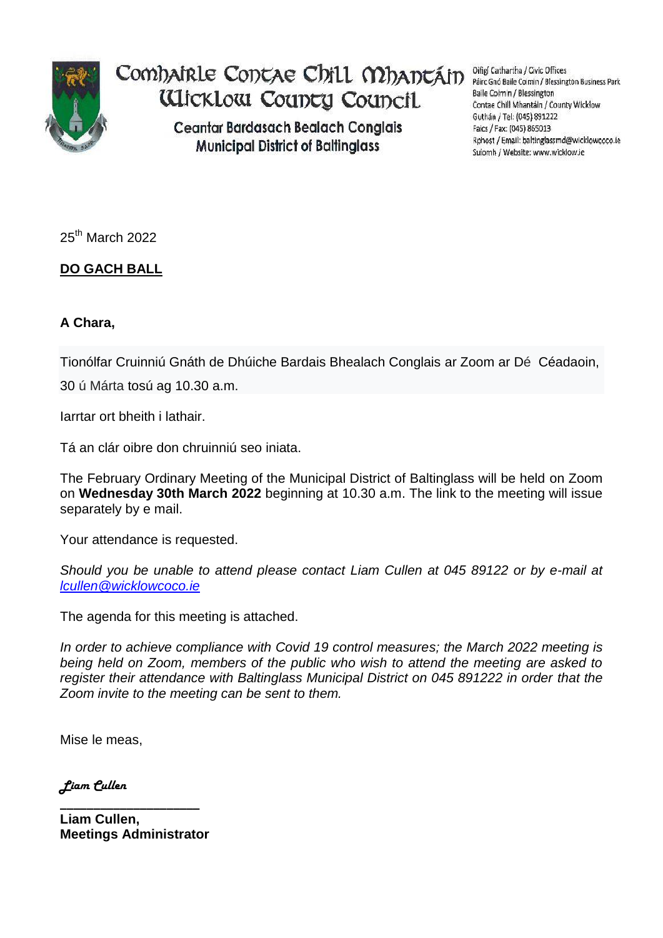

Comhairle Contae Chill Mhantáin Wicklow County Council

> **Ceantar Bardasach Bealach Conglais Municipal District of Baltinglass**

Oifigí Cathartha / Civic Offices Páirc Gnó Baile Coimin / Blessington Business Park Baile Coimin / Blessington Contae Chill Mhantáin / County Wicklow Guthán / Tel: (045) 891222 Faics / Fax: (045) 865013 Rphost / Email: baltinglassmd@wicklowcoco.ie Suíomh / Website: www.wicklow.ie

25th March 2022

## **DO GACH BALL**

## **A Chara,**

Tionólfar Cruinniú Gnáth de Dhúiche Bardais Bhealach Conglais ar Zoom ar Dé Céadaoin,

30 ú Márta tosú ag 10.30 a.m.

Iarrtar ort bheith i lathair.

Tá an clár oibre don chruinniú seo iniata.

The February Ordinary Meeting of the Municipal District of Baltinglass will be held on Zoom on **Wednesday 30th March 2022** beginning at 10.30 a.m. The link to the meeting will issue separately by e mail.

Your attendance is requested.

*Should you be unable to attend please contact Liam Cullen at 045 89122 or by e-mail at [lcullen@wicklowcoco.ie](mailto:lcullen@wicklowcoco.ie)*

The agenda for this meeting is attached.

*In order to achieve compliance with Covid 19 control measures; the March 2022 meeting is being held on Zoom, members of the public who wish to attend the meeting are asked to register their attendance with Baltinglass Municipal District on 045 891222 in order that the Zoom invite to the meeting can be sent to them.* 

Mise le meas,

*Liam Cullen*

**\_\_\_\_\_\_\_\_\_\_\_\_\_\_\_\_\_\_\_\_\_ Liam Cullen, Meetings Administrator**